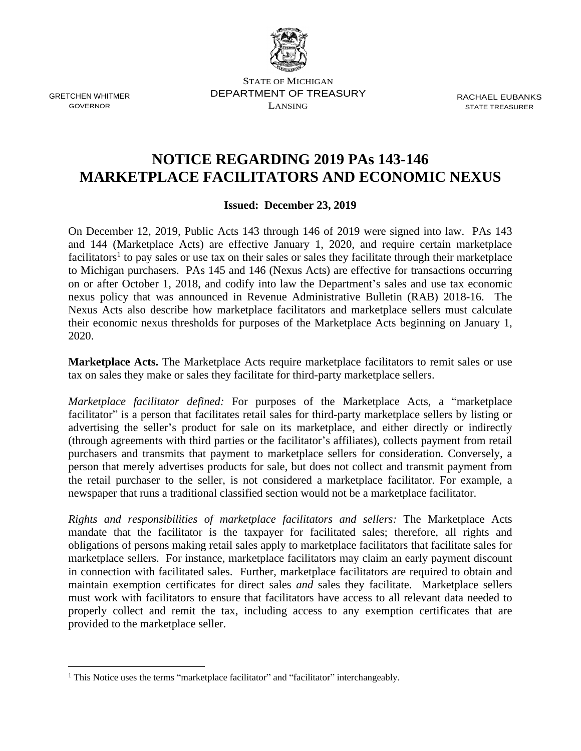

GRETCHEN WHITMER GOVERNOR

STATE OF MICHIGAN DEPARTMENT OF TREASURY LANSING

RACHAEL EUBANKS STATE TREASURER

## **NOTICE REGARDING 2019 PAs 143-146 MARKETPLACE FACILITATORS AND ECONOMIC NEXUS**

**Issued: December 23, 2019**

On December 12, 2019, Public Acts 143 through 146 of 2019 were signed into law. PAs 143 and 144 (Marketplace Acts) are effective January 1, 2020, and require certain marketplace facilitators<sup>1</sup> to pay sales or use tax on their sales or sales they facilitate through their marketplace to Michigan purchasers. PAs 145 and 146 (Nexus Acts) are effective for transactions occurring on or after October 1, 2018, and codify into law the Department's sales and use tax economic nexus policy that was announced in Revenue Administrative Bulletin (RAB) 2018-16. The Nexus Acts also describe how marketplace facilitators and marketplace sellers must calculate their economic nexus thresholds for purposes of the Marketplace Acts beginning on January 1, 2020.

**Marketplace Acts.** The Marketplace Acts require marketplace facilitators to remit sales or use tax on sales they make or sales they facilitate for third-party marketplace sellers.

*Marketplace facilitator defined:* For purposes of the Marketplace Acts, a "marketplace facilitator" is a person that facilitates retail sales for third-party marketplace sellers by listing or advertising the seller's product for sale on its marketplace, and either directly or indirectly (through agreements with third parties or the facilitator's affiliates), collects payment from retail purchasers and transmits that payment to marketplace sellers for consideration. Conversely, a person that merely advertises products for sale, but does not collect and transmit payment from the retail purchaser to the seller, is not considered a marketplace facilitator. For example, a newspaper that runs a traditional classified section would not be a marketplace facilitator.

*Rights and responsibilities of marketplace facilitators and sellers:* The Marketplace Acts mandate that the facilitator is the taxpayer for facilitated sales; therefore, all rights and obligations of persons making retail sales apply to marketplace facilitators that facilitate sales for marketplace sellers. For instance, marketplace facilitators may claim an early payment discount in connection with facilitated sales. Further, marketplace facilitators are required to obtain and maintain exemption certificates for direct sales *and* sales they facilitate. Marketplace sellers must work with facilitators to ensure that facilitators have access to all relevant data needed to properly collect and remit the tax, including access to any exemption certificates that are provided to the marketplace seller.

<sup>&</sup>lt;sup>1</sup> This Notice uses the terms "marketplace facilitator" and "facilitator" interchangeably.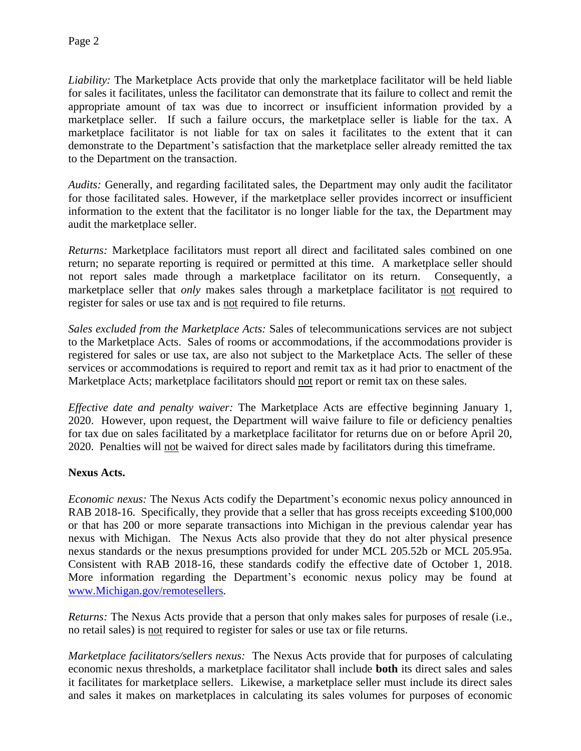*Liability:* The Marketplace Acts provide that only the marketplace facilitator will be held liable for sales it facilitates, unless the facilitator can demonstrate that its failure to collect and remit the appropriate amount of tax was due to incorrect or insufficient information provided by a marketplace seller. If such a failure occurs, the marketplace seller is liable for the tax. A marketplace facilitator is not liable for tax on sales it facilitates to the extent that it can demonstrate to the Department's satisfaction that the marketplace seller already remitted the tax to the Department on the transaction.

*Audits:* Generally, and regarding facilitated sales, the Department may only audit the facilitator for those facilitated sales. However, if the marketplace seller provides incorrect or insufficient information to the extent that the facilitator is no longer liable for the tax, the Department may audit the marketplace seller.

*Returns:* Marketplace facilitators must report all direct and facilitated sales combined on one return; no separate reporting is required or permitted at this time. A marketplace seller should not report sales made through a marketplace facilitator on its return. Consequently, a marketplace seller that *only* makes sales through a marketplace facilitator is not required to register for sales or use tax and is not required to file returns.

*Sales excluded from the Marketplace Acts:* Sales of telecommunications services are not subject to the Marketplace Acts. Sales of rooms or accommodations, if the accommodations provider is registered for sales or use tax, are also not subject to the Marketplace Acts. The seller of these services or accommodations is required to report and remit tax as it had prior to enactment of the Marketplace Acts; marketplace facilitators should not report or remit tax on these sales.

*Effective date and penalty waiver:* The Marketplace Acts are effective beginning January 1, 2020. However, upon request, the Department will waive failure to file or deficiency penalties for tax due on sales facilitated by a marketplace facilitator for returns due on or before April 20, 2020. Penalties will not be waived for direct sales made by facilitators during this timeframe.

## **Nexus Acts.**

*Economic nexus:* The Nexus Acts codify the Department's economic nexus policy announced in RAB 2018-16. Specifically, they provide that a seller that has gross receipts exceeding \$100,000 or that has 200 or more separate transactions into Michigan in the previous calendar year has nexus with Michigan. The Nexus Acts also provide that they do not alter physical presence nexus standards or the nexus presumptions provided for under MCL 205.52b or MCL 205.95a. Consistent with RAB 2018-16, these standards codify the effective date of October 1, 2018. More information regarding the Department's economic nexus policy may be found at [www.Michigan.gov/remotesellers.](http://www.michigan.gov/remotesellers)

*Returns:* The Nexus Acts provide that a person that only makes sales for purposes of resale (i.e., no retail sales) is not required to register for sales or use tax or file returns.

*Marketplace facilitators/sellers nexus:* The Nexus Acts provide that for purposes of calculating economic nexus thresholds, a marketplace facilitator shall include **both** its direct sales and sales it facilitates for marketplace sellers. Likewise, a marketplace seller must include its direct sales and sales it makes on marketplaces in calculating its sales volumes for purposes of economic